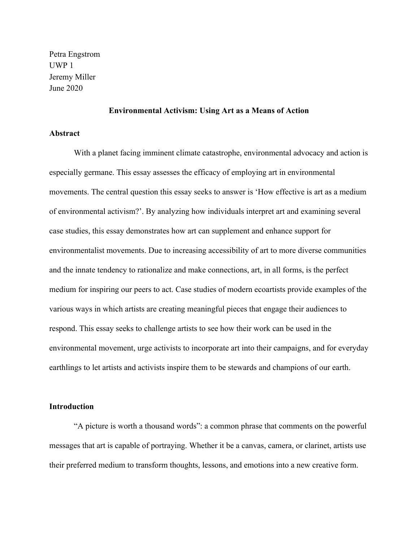Petra Engstrom UWP 1 Jeremy Miller June 2020

## **Environmental Activism: Using Art as a Means of Action**

#### **Abstract**

With a planet facing imminent climate catastrophe, environmental advocacy and action is especially germane. This essay assesses the efficacy of employing art in environmental movements. The central question this essay seeks to answer is 'How effective is art as a medium of environmental activism?'. By analyzing how individuals interpret art and examining several case studies, this essay demonstrates how art can supplement and enhance support for environmentalist movements. Due to increasing accessibility of art to more diverse communities and the innate tendency to rationalize and make connections, art, in all forms, is the perfect medium for inspiring our peers to act. Case studies of modern ecoartists provide examples of the various ways in which artists are creating meaningful pieces that engage their audiences to respond. This essay seeks to challenge artists to see how their work can be used in the environmental movement, urge activists to incorporate art into their campaigns, and for everyday earthlings to let artists and activists inspire them to be stewards and champions of our earth.

# **Introduction**

"A picture is worth a thousand words": a common phrase that comments on the powerful messages that art is capable of portraying. Whether it be a canvas, camera, or clarinet, artists use their preferred medium to transform thoughts, lessons, and emotions into a new creative form.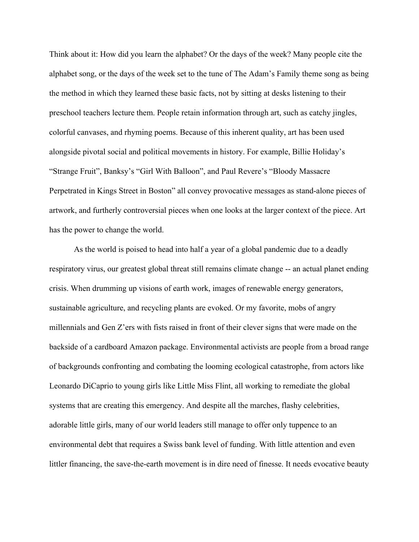Think about it: How did you learn the alphabet? Or the days of the week? Many people cite the alphabet song, or the days of the week set to the tune of The Adam's Family theme song as being the method in which they learned these basic facts, not by sitting at desks listening to their preschool teachers lecture them. People retain information through art, such as catchy jingles, colorful canvases, and rhyming poems. Because of this inherent quality, art has been used alongside pivotal social and political movements in history. For example, Billie Holiday's "Strange Fruit", Banksy's "Girl With Balloon", and Paul Revere's "Bloody Massacre Perpetrated in Kings Street in Boston" all convey provocative messages as stand-alone pieces of artwork, and furtherly controversial pieces when one looks at the larger context of the piece. Art has the power to change the world.

As the world is poised to head into half a year of a global pandemic due to a deadly respiratory virus, our greatest global threat still remains climate change -- an actual planet ending crisis. When drumming up visions of earth work, images of renewable energy generators, sustainable agriculture, and recycling plants are evoked. Or my favorite, mobs of angry millennials and Gen Z'ers with fists raised in front of their clever signs that were made on the backside of a cardboard Amazon package. Environmental activists are people from a broad range of backgrounds confronting and combating the looming ecological catastrophe, from actors like Leonardo DiCaprio to young girls like Little Miss Flint, all working to remediate the global systems that are creating this emergency. And despite all the marches, flashy celebrities, adorable little girls, many of our world leaders still manage to offer only tuppence to an environmental debt that requires a Swiss bank level of funding. With little attention and even littler financing, the save-the-earth movement is in dire need of finesse. It needs evocative beauty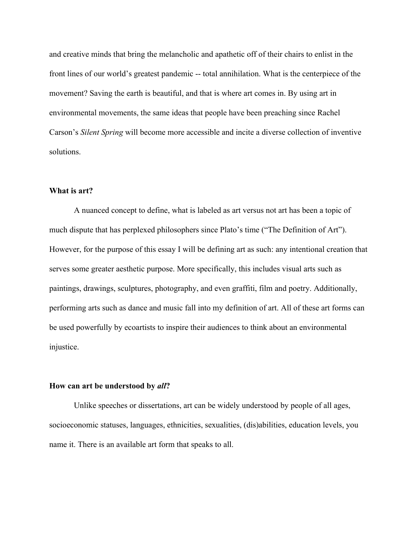and creative minds that bring the melancholic and apathetic off of their chairs to enlist in the front lines of our world's greatest pandemic -- total annihilation. What is the centerpiece of the movement? Saving the earth is beautiful, and that is where art comes in. By using art in environmental movements, the same ideas that people have been preaching since Rachel Carson's *Silent Spring* will become more accessible and incite a diverse collection of inventive solutions.

# **What is art?**

A nuanced concept to define, what is labeled as art versus not art has been a topic of much dispute that has perplexed philosophers since Plato's time ("The Definition of Art"). However, for the purpose of this essay I will be defining art as such: any intentional creation that serves some greater aesthetic purpose. More specifically, this includes visual arts such as paintings, drawings, sculptures, photography, and even graffiti, film and poetry. Additionally, performing arts such as dance and music fall into my definition of art. All of these art forms can be used powerfully by ecoartists to inspire their audiences to think about an environmental injustice.

### **How can art be understood by** *all***?**

Unlike speeches or dissertations, art can be widely understood by people of all ages, socioeconomic statuses, languages, ethnicities, sexualities, (dis)abilities, education levels, you name it. There is an available art form that speaks to all.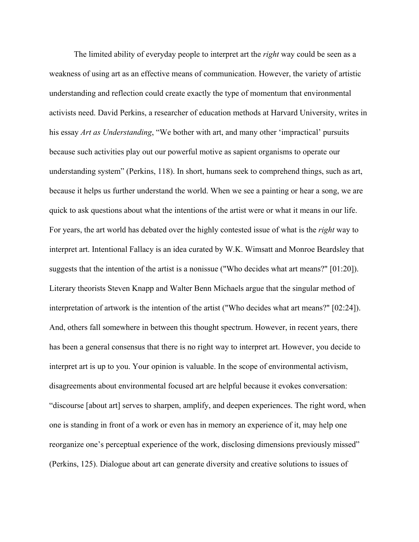The limited ability of everyday people to interpret art the *right* way could be seen as a weakness of using art as an effective means of communication. However, the variety of artistic understanding and reflection could create exactly the type of momentum that environmental activists need. David Perkins, a researcher of education methods at Harvard University, writes in his essay *Art as Understanding*, "We bother with art, and many other 'impractical' pursuits because such activities play out our powerful motive as sapient organisms to operate our understanding system" (Perkins, 118). In short, humans seek to comprehend things, such as art, because it helps us further understand the world. When we see a painting or hear a song, we are quick to ask questions about what the intentions of the artist were or what it means in our life. For years, the art world has debated over the highly contested issue of what is the *right* way to interpret art. Intentional Fallacy is an idea curated by W.K. Wimsatt and Monroe Beardsley that suggests that the intention of the artist is a nonissue ("Who decides what art means?" [01:20]). Literary theorists Steven Knapp and Walter Benn Michaels argue that the singular method of interpretation of artwork is the intention of the artist ("Who decides what art means?" [02:24]). And, others fall somewhere in between this thought spectrum. However, in recent years, there has been a general consensus that there is no right way to interpret art. However, you decide to interpret art is up to you. Your opinion is valuable. In the scope of environmental activism, disagreements about environmental focused art are helpful because it evokes conversation: "discourse [about art] serves to sharpen, amplify, and deepen experiences. The right word, when one is standing in front of a work or even has in memory an experience of it, may help one reorganize one's perceptual experience of the work, disclosing dimensions previously missed" (Perkins, 125). Dialogue about art can generate diversity and creative solutions to issues of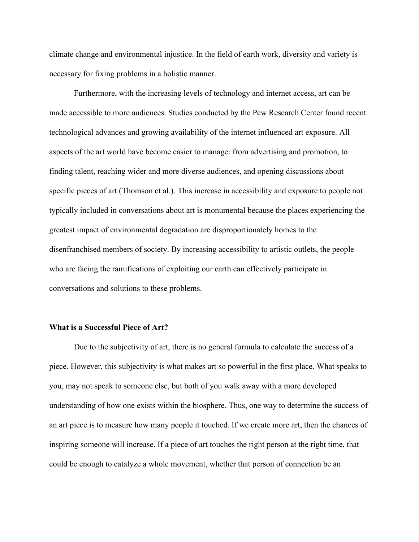climate change and environmental injustice. In the field of earth work, diversity and variety is necessary for fixing problems in a holistic manner.

Furthermore, with the increasing levels of technology and internet access, art can be made accessible to more audiences. Studies conducted by the Pew Research Center found recent technological advances and growing availability of the internet influenced art exposure. All aspects of the art world have become easier to manage: from advertising and promotion, to finding talent, reaching wider and more diverse audiences, and opening discussions about specific pieces of art (Thomson et al.). This increase in accessibility and exposure to people not typically included in conversations about art is monumental because the places experiencing the greatest impact of environmental degradation are disproportionately homes to the disenfranchised members of society. By increasing accessibility to artistic outlets, the people who are facing the ramifications of exploiting our earth can effectively participate in conversations and solutions to these problems.

# **What is a Successful Piece of Art?**

Due to the subjectivity of art, there is no general formula to calculate the success of a piece. However, this subjectivity is what makes art so powerful in the first place. What speaks to you, may not speak to someone else, but both of you walk away with a more developed understanding of how one exists within the biosphere. Thus, one way to determine the success of an art piece is to measure how many people it touched. If we create more art, then the chances of inspiring someone will increase. If a piece of art touches the right person at the right time, that could be enough to catalyze a whole movement, whether that person of connection be an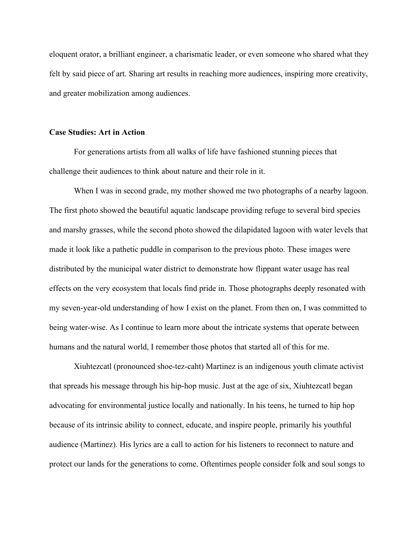eloquent orator, a brilliant engineer, a charismatic leader, or even someone who shared what they felt by said piece of art. Sharing art results in reaching more audiences, inspiring more creativity, and greater mobilization among audiences.

### **Case Studies: Art in Action**

For generations artists from all walks of life have fashioned stunning pieces that challenge their audiences to think about nature and their role in it.

When I was in second grade, my mother showed me two photographs of a nearby lagoon. The first photo showed the beautiful aquatic landscape providing refuge to several bird species and marshy grasses, while the second photo showed the dilapidated lagoon with water levels that made it look like a pathetic puddle in comparison to the previous photo. These images were distributed by the municipal water district to demonstrate how flippant water usage has real effects on the very ecosystem that locals find pride in. Those photographs deeply resonated with my seven-year-old understanding of how I exist on the planet. From then on, I was committed to being water-wise. As I continue to learn more about the intricate systems that operate between humans and the natural world, I remember those photos that started all of this for me.

Xiuhtezcatl (pronounced shoe-tez-caht) Martinez is an indigenous youth climate activist that spreads his message through his hip-hop music. Just at the age of six, Xiuhtezcatl began advocating for environmental justice locally and nationally. In his teens, he turned to hip hop because of its intrinsic ability to connect, educate, and inspire people, primarily his youthful audience (Martinez). His lyrics are a call to action for his listeners to reconnect to nature and protect our lands for the generations to come. Oftentimes people consider folk and soul songs to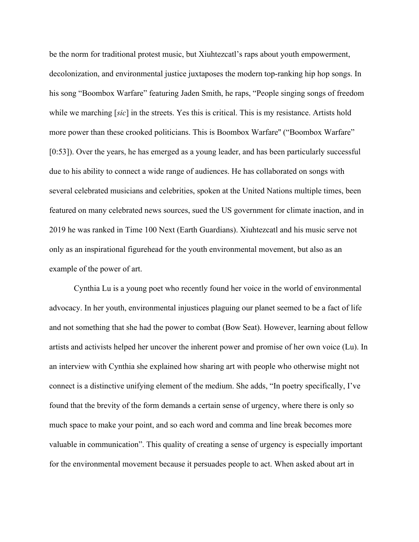be the norm for traditional protest music, but Xiuhtezcatl's raps about youth empowerment, decolonization, and environmental justice juxtaposes the modern top-ranking hip hop songs. In his song "Boombox Warfare" featuring Jaden Smith, he raps, "People singing songs of freedom while we marching [*sic*] in the streets. Yes this is critical. This is my resistance. Artists hold more power than these crooked politicians. This is Boombox Warfare'' ("Boombox Warfare" [0:53]). Over the years, he has emerged as a young leader, and has been particularly successful due to his ability to connect a wide range of audiences. He has collaborated on songs with several celebrated musicians and celebrities, spoken at the United Nations multiple times, been featured on many celebrated news sources, sued the US government for climate inaction, and in 2019 he was ranked in Time 100 Next (Earth Guardians). Xiuhtezcatl and his music serve not only as an inspirational figurehead for the youth environmental movement, but also as an example of the power of art.

Cynthia Lu is a young poet who recently found her voice in the world of environmental advocacy. In her youth, environmental injustices plaguing our planet seemed to be a fact of life and not something that she had the power to combat (Bow Seat). However, learning about fellow artists and activists helped her uncover the inherent power and promise of her own voice (Lu). In an interview with Cynthia she explained how sharing art with people who otherwise might not connect is a distinctive unifying element of the medium. She adds, "In poetry specifically, I've found that the brevity of the form demands a certain sense of urgency, where there is only so much space to make your point, and so each word and comma and line break becomes more valuable in communication". This quality of creating a sense of urgency is especially important for the environmental movement because it persuades people to act. When asked about art in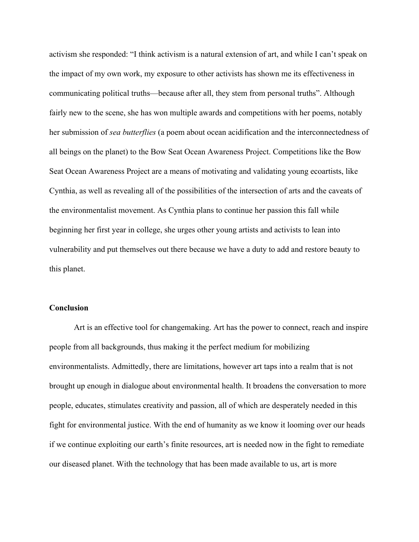activism she responded: "I think activism is a natural extension of art, and while I can't speak on the impact of my own work, my exposure to other activists has shown me its effectiveness in communicating political truths—because after all, they stem from personal truths". Although fairly new to the scene, she has won multiple awards and competitions with her poems, notably her submission of *sea butterflies* (a poem about ocean acidification and the interconnectedness of all beings on the planet) to the Bow Seat Ocean Awareness Project. Competitions like the Bow Seat Ocean Awareness Project are a means of motivating and validating young ecoartists, like Cynthia, as well as revealing all of the possibilities of the intersection of arts and the caveats of the environmentalist movement. As Cynthia plans to continue her passion this fall while beginning her first year in college, she urges other young artists and activists to lean into vulnerability and put themselves out there because we have a duty to add and restore beauty to this planet.

# **Conclusion**

Art is an effective tool for changemaking. Art has the power to connect, reach and inspire people from all backgrounds, thus making it the perfect medium for mobilizing environmentalists. Admittedly, there are limitations, however art taps into a realm that is not brought up enough in dialogue about environmental health. It broadens the conversation to more people, educates, stimulates creativity and passion, all of which are desperately needed in this fight for environmental justice. With the end of humanity as we know it looming over our heads if we continue exploiting our earth's finite resources, art is needed now in the fight to remediate our diseased planet. With the technology that has been made available to us, art is more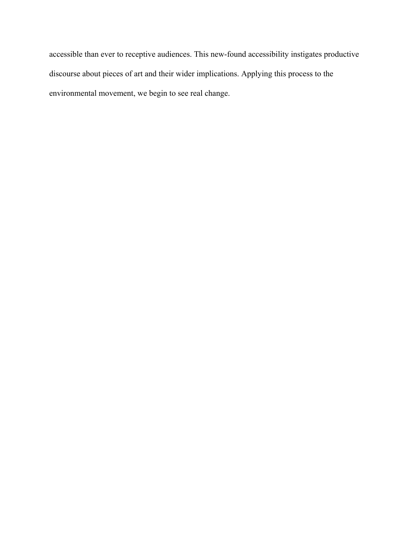accessible than ever to receptive audiences. This new-found accessibility instigates productive discourse about pieces of art and their wider implications. Applying this process to the environmental movement, we begin to see real change.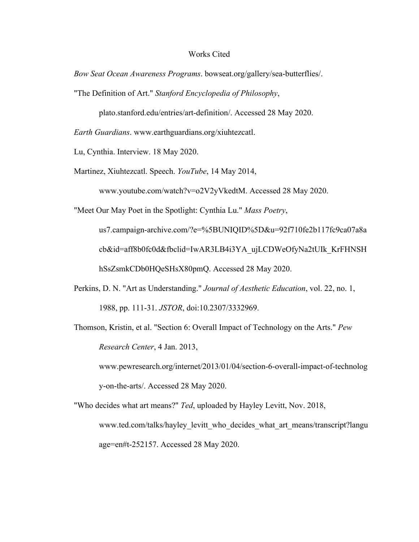#### Works Cited

*Bow Seat Ocean Awareness Programs*. bowseat.org/gallery/sea-butterflies/.

"The Definition of Art." *Stanford Encyclopedia of Philosophy*,

plato.stanford.edu/entries/art-definition/. Accessed 28 May 2020.

*Earth Guardians*. www.earthguardians.org/xiuhtezcatl.

Lu, Cynthia. Interview. 18 May 2020.

Martinez, Xiuhtezcatl. Speech. *YouTube*, 14 May 2014,

www.youtube.com/watch?v=o2V2yVkedtM. Accessed 28 May 2020.

"Meet Our May Poet in the Spotlight: Cynthia Lu." *Mass Poetry*,

us7.campaign-archive.com/?e=%5BUNIQID%5D&u=92f710fe2b117fc9ca07a8a cb&id=aff8b0fc0d&fbclid=IwAR3LB4i3YA\_ujLCDWeOfyNa2tUIk\_KrFHNSH hSsZsmkCDb0HQeSHsX80pmQ. Accessed 28 May 2020.

- Perkins, D. N. "Art as Understanding." *Journal of Aesthetic Education*, vol. 22, no. 1, 1988, pp. 111-31. *JSTOR*, doi:10.2307/3332969.
- Thomson, Kristin, et al. "Section 6: Overall Impact of Technology on the Arts." *Pew Research Center*, 4 Jan. 2013,

www.pewresearch.org/internet/2013/01/04/section-6-overall-impact-of-technolog y-on-the-arts/. Accessed 28 May 2020.

"Who decides what art means?" *Ted*, uploaded by Hayley Levitt, Nov. 2018, www.ted.com/talks/hayley\_levitt\_who\_decides\_what\_art\_means/transcript?langu age=en#t-252157. Accessed 28 May 2020.